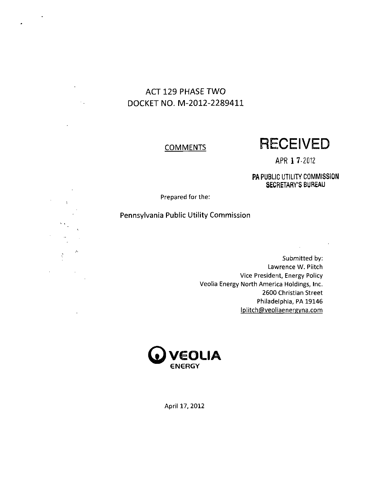## **ACT 129 PHASE TWO DOCKETNO. M-2012-2289411**

 $\ddot{\phantom{0}}$ 

 $\hat{\mathbf{r}}$ 

 $\sim$   $\downarrow$ 

## **COMMENTS**

**RECEIVED** 

**APR 17-2012** 

**PA PUBLIC UTILITY COMMISSION SECRETARY'S BUREAU** 

 $\mathcal{L}$ 

Prepared for the:

## Pennsylvania Public Utility Commission

Submitted by: Lawrence W. Plitch Vice President, Energy Policy Veolia Energy North America Holdings, Inc. 2600 Christian Street Philadelphia, PA 19146 lplitch@veoliaenergyna.com



April 17, 2012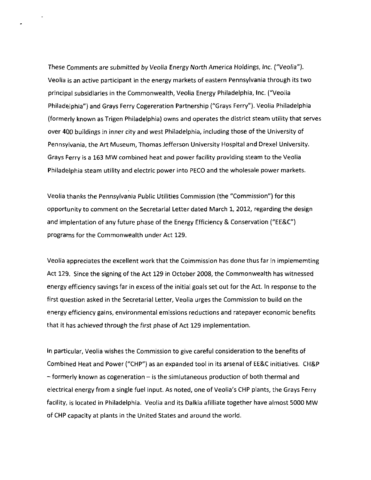These Comments are submitted by Veolia Energy North America Holdings, Inc. {"Veolia"). Veolia is an active participant in the energy markets of eastern Pennsylvania through its two principal subsidiaries in the Commonwealth, Veolia Energy Philadelphia, Inc. ("Veolia Philadelphia") and Grays Ferry Cogereration Partnership ("Grays Ferry"). Veolia Philadelphia (formerly known as Trigen Philadelphia) owns and operates the district steam utility that serves over 400 buildings in inner city and west Philadelphia, including those of the University of Pennsylvania, the Art Museum, Thomas Jefferson University Hospital and Drexel University. Grays Ferry is a 163 MW combined heat and power facility providing steam to the Veolia Philadelphia steam utility and electric power into PECO and the wholesale power markets.

Veolia thanks the Pennsylvania Public Utilities Commission {the "Commission") for this opportunity to comment on the Secretarial Letter dated March 1, 2012, regarding the design and implentation of any future phase of the Energy Efficiency & Conservation ("EE&C") programs for the Commonwealth under Act 129.

Veolia appreciates the excellent work that the Coimmission has done thus far in implememting Act 129. Since the signing of the Act 129 in October 2008, the Commonwealth has witnessed energy efficiency savings far in excess of the initial goals set out for the Act. In response to the first question asked in the Secretarial Letter, Veolia urges the Commission to build on the energy efficiency gains, environmental emissions reductions and ratepayer economic benefits that it has achieved through the first phase of Act 129 implementation.

In particular, Veolia wishes the Commission to give careful consideration to the benefits of Combined Heat and Power ("CHP") as an expanded tool in its arsenal of EE&C initiatives. CH&P  $-$  formerly known as cogeneration  $-$  is the similutaneous production of both thermal and electrical energy from a single fuel input. As noted, one of Veolia's CHP plants, the Grays Ferry facility, is located in Philadelphia. Veolia and its Dalkia afilliate together have almost 5000 MW of CHP capacity at plants in the United States and around the world.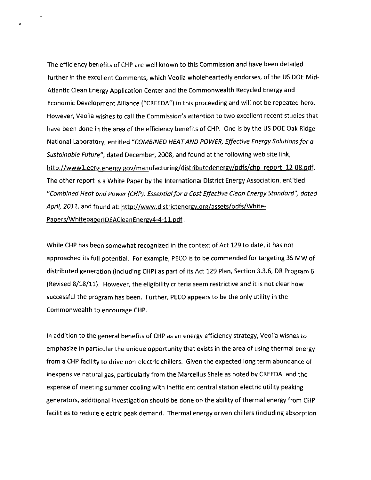The efficiency benefits of CHP are well known to this Commission and have been detailed further in the excellent Comments, which Veolia wholeheartedly endorses, of the US DOE Mid-Atlantic Clean Energy Application Center and the Commonwealth Recycled Energy and Economic Development Alliance ("CREEDA") in this proceeding and will not be repeated here. However, Veolia wishes to call the Commission's attention to two excellent recent studies that have been done in the area of the efficiency benefits of CHP. One is by the US DOE Oak Ridge National Laboratory, entitled "COMBINED HEAT AND POWER, Effective Energy Solutions for a Sustainable Future", dated December, 2008, and found at the following web site link, http://wwwl.eere.energv.gov/manufacturing/distributedenergv/pdfs/chp report 12-08.pdf. The other report is a White Paper by the International District Energy Association, entitled "Combined Heot ond Power (CHP): Essential for a Cost Effective Clean Energy Standard", dated April, 2011, and found at: http://www.districtenergy.org/assets/pdfs/White-Papers/WhitepaperIDEACleanEnergy4-4-11.pdf.

While CHP has been somewhat recognized in the context of Act 129 to date, it has not approached its full potential. For example, PECO is to be commended for targeting 35 MW of distributed generation (including CHP) as part of its Act 129 Plan, Section 3.3.6, DR Program 6 (Revised 8/18/11). However, the eligibility criteria seem restrictive and it is not clear how successful the program has been. Further, PECO appears to be the only utility in the Commonwealth to encourage CHP.

In addition to the general benefits of CHP as an energy efficiency strategy, Veolia wishes to emphasize in particular the unique opportunity that exists in the area of using thermal energy from a CHP facility to drive non-electric chillers. Given the expected long term abundance of inexpensive natural gas, particularly from the Marcellus Shale as noted by CREEDA, and the expense of meeting summer cooling with inefficient central station electric utility peaking generators, additional investigation should be done on the ability of thermal energy from CHP facilities to reduce electric peak demand. Thermal energy driven chillers (including absorption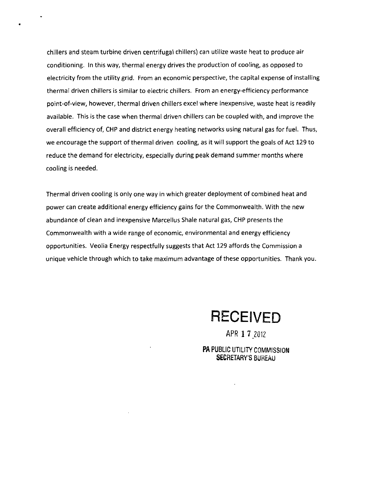chillers and steam turbine driven centrifugal chillers) can utilize waste heat to produce air conditioning. In this way, thermal energy drives the production of cooling, as opposed to electricity from the utility grid. From an economic perspective, the capital expense of installing thermal driven chillers is similar to electric chillers. From an energy-efficiency performance point-of-view, however, thermal driven chillers excel where inexpensive, waste heat is readily available. This is the case when thermal driven chillers can be coupled with, and improve the overall efficiency of, CHP and district energy heating networks using natural gas for fuel. Thus, we encourage the support of thermal driven cooling, as it will support the goals of Act 129 to reduce the demand for electricity, especially during peak demand summer months where cooling is needed.

Thermal driven cooling is only one way in which greater deployment of combined heat and power can create additional energy efficiency gains for the Commonwealth. With the new abundance of clean and inexpensive Marcellus Shale natural gas, CHP presents the Commonwealth with a wide range of economic, environmental and energy efficiency opportunities. Veolia Energy respectfully suggests that Act 129 affords the Commission a unique vehicle through which to take maximum advantage of these opportunities. Thank you.

**RECEIVED** 

APR 1 7 2012

PA PUBLIC UTILITY COMMISSION SECRETARY'S BUREAU